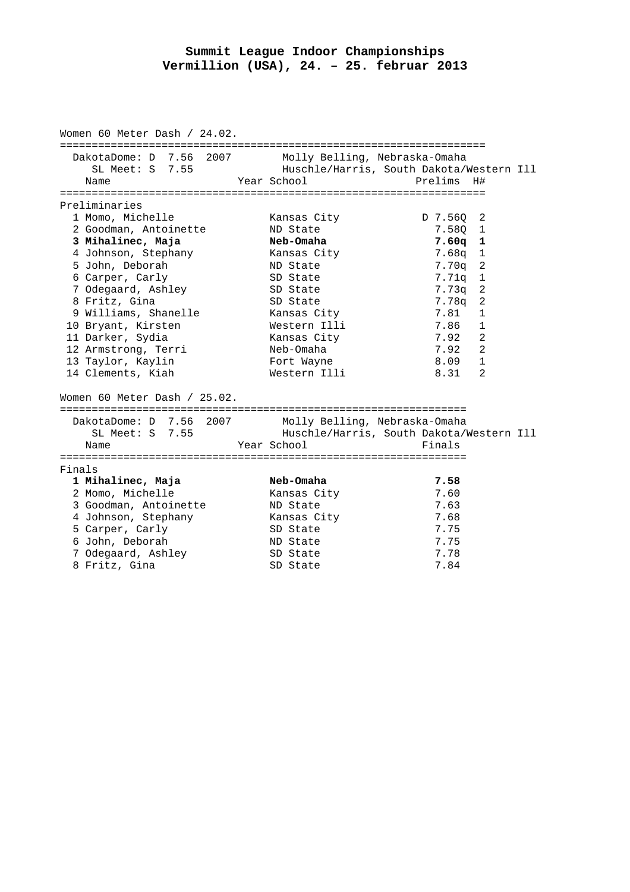## **Summit League Indoor Championships Vermillion (USA), 24. – 25. februar 2013**

| Women 60 Meter Dash / 24.02. |                                                    |  |                                              |                                                        |
|------------------------------|----------------------------------------------------|--|----------------------------------------------|--------------------------------------------------------|
|                              | DakotaDome: D 7.56 2007<br>SL Meet: S 7.55<br>Name |  | Molly Belling, Nebraska-Omaha<br>Year School | Huschle/Harris, South Dakota/Western Ill<br>Prelims H# |
| Preliminaries                |                                                    |  |                                              |                                                        |
|                              | 1 Momo, Michelle                                   |  | Kansas City                                  | D 7.560 2                                              |
|                              | 2 Goodman, Antoinette                              |  | ND State                                     | 7.580 1                                                |
|                              | 3 Mihalinec, Maja                                  |  | Neb-Omaha                                    | $7.60q$ 1                                              |
|                              | 4 Johnson, Stephany                                |  | Kansas City                                  | 7.68q<br>1                                             |
|                              | 5 John, Deborah                                    |  | ND State                                     | 7.70a<br>2                                             |
|                              | 6 Carper, Carly                                    |  | SD State                                     | 1<br>7.71q                                             |
|                              | 7 Odegaard, Ashley                                 |  | SD State                                     | 7.73q<br>2                                             |
|                              | 8 Fritz, Gina                                      |  | SD State                                     | 2<br>7.78q                                             |
|                              | 9 Williams, Shanelle                               |  | Kansas City                                  | 7.81<br>1                                              |
|                              | 10 Bryant, Kirsten                                 |  | Western Illi                                 | 7.86<br>$\mathbf{1}$                                   |
|                              | 11 Darker, Sydia                                   |  | Kansas City                                  | $\mathbf{2}$<br>7.92                                   |
|                              | 12 Armstrong, Terri                                |  | Neb-Omaha                                    | $\overline{2}$<br>7.92                                 |
|                              | 13 Taylor, Kaylin                                  |  | Fort Wayne                                   | $\mathbf{1}$<br>8.09                                   |
|                              | 14 Clements, Kiah                                  |  | Western Illi                                 | $\overline{2}$<br>8.31                                 |
| Women 60 Meter Dash / 25.02. |                                                    |  |                                              |                                                        |
|                              | DakotaDome: D 7.56 2007                            |  | Molly Belling, Nebraska-Omaha                |                                                        |
|                              | $SL$ Meet: $S$ 7.55                                |  |                                              | Huschle/Harris, South Dakota/Western Ill               |
|                              | Name                                               |  | Year School                                  | Finals                                                 |
| Finals                       |                                                    |  |                                              |                                                        |
|                              | 1 Mihalinec, Maja                                  |  | Neb-Omaha                                    | 7.58                                                   |
|                              | 2 Momo, Michelle                                   |  | Kansas City                                  | 7.60                                                   |
|                              | 3 Goodman, Antoinette                              |  | ND State                                     | 7.63                                                   |
|                              | 4 Johnson, Stephany                                |  | Kansas City                                  | 7.68                                                   |
|                              | 5 Carper, Carly                                    |  | SD State                                     | 7.75                                                   |
|                              | 6 John, Deborah                                    |  | ND State                                     | 7.75                                                   |
|                              | 7 Odegaard, Ashley                                 |  | SD State                                     | 7.78                                                   |
|                              | 8 Fritz, Gina                                      |  | SD State                                     | 7.84                                                   |